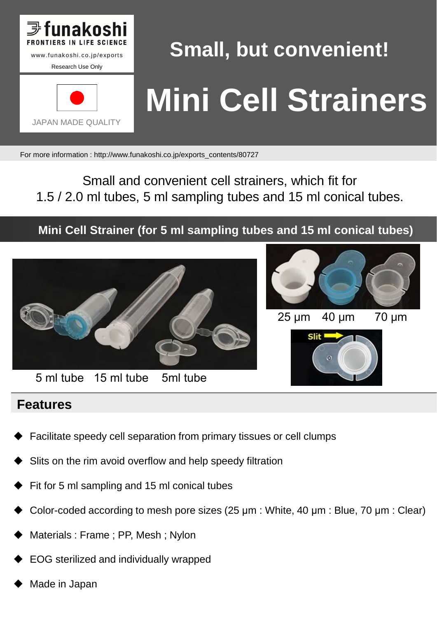

# **Small, but convenient! Mini Cell Strainers**

For more information : http://www.funakoshi.co.jp/exports\_contents/80727

Small and convenient cell strainers, which fit for 1.5 / 2.0 ml tubes, 5 ml sampling tubes and 15 ml conical tubes.

**Mini Cell Strainer (for 5 ml sampling tubes and 15 ml conical tubes)**



### **Features**

- Facilitate speedy cell separation from primary tissues or cell clumps
- Slits on the rim avoid overflow and help speedy filtration
- Fit for 5 ml sampling and 15 ml conical tubes
- Color-coded according to mesh pore sizes (25 μm : White, 40 μm : Blue, 70 μm : Clear)
- Materials : Frame ; PP, Mesh ; Nylon
- EOG sterilized and individually wrapped
- Made in Japan